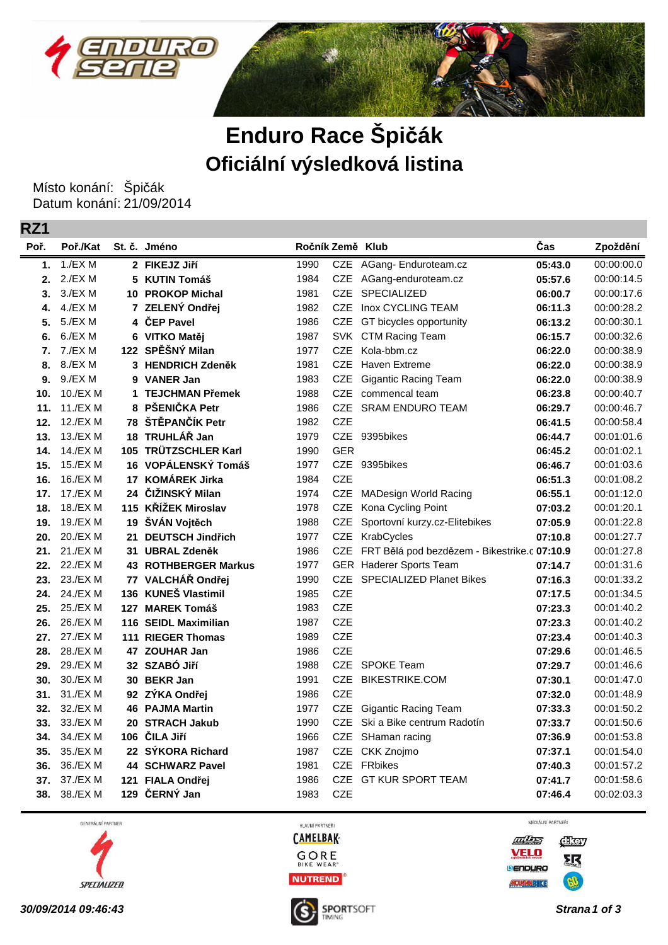



## **Enduro Race Špičák Oficiální výsledková listina**

Místo konání: Špičák Datum konání: 21/09/2014

**RZ1**

| Poř. | Poř./Kat |     | St. č. Jméno                | Ročník Země Klub |            |                                              | Čas     | Zpoždění   |
|------|----------|-----|-----------------------------|------------------|------------|----------------------------------------------|---------|------------|
| 1.   | 1./EX M  |     | 2 FIKEJZ Jiří               | 1990             |            | CZE AGang- Enduroteam.cz                     | 05:43.0 | 00:00:00.0 |
| 2.   | 2./EX M  |     | 5 KUTIN Tomáš               | 1984             |            | CZE AGang-enduroteam.cz                      | 05:57.6 | 00:00:14.5 |
| 3.   | 3./EXM   |     | <b>10 PROKOP Michal</b>     | 1981             | <b>CZE</b> | SPECIALIZED                                  | 06:00.7 | 00:00:17.6 |
| 4.   | 4./EXM   |     | 7 ZELENÝ Ondřej             | 1982             | <b>CZE</b> | Inox CYCLING TEAM                            | 06:11.3 | 00:00:28.2 |
| 5.   | 5./EXM   |     | 4 ČEP Pavel                 | 1986             | <b>CZE</b> | GT bicycles opportunity                      | 06:13.2 | 00:00:30.1 |
| 6.   | 6./EXM   | 6   | VITKO Matěj                 | 1987             |            | SVK CTM Racing Team                          | 06:15.7 | 00:00:32.6 |
| 7.   | 7./EXM   |     | 122 SPĚŠNÝ Milan            | 1977             | <b>CZE</b> | Kola-bbm.cz                                  | 06:22.0 | 00:00:38.9 |
| 8.   | 8./EXM   |     | 3 HENDRICH Zdeněk           | 1981             | <b>CZE</b> | Haven Extreme                                | 06:22.0 | 00:00:38.9 |
| 9.   | 9./EXM   |     | 9 VANER Jan                 | 1983             | <b>CZE</b> | <b>Gigantic Racing Team</b>                  | 06:22.0 | 00:00:38.9 |
| 10.  | 10./EXM  | 1   | <b>TEJCHMAN Přemek</b>      | 1988             | <b>CZE</b> | commencal team                               | 06:23.8 | 00:00:40.7 |
| 11.  | 11./EX M |     | 8 PŠENIČKA Petr             | 1986             | <b>CZE</b> | <b>SRAM ENDURO TEAM</b>                      | 06:29.7 | 00:00:46.7 |
| 12.  | 12./EX M |     | 78 ŠTĚPANČÍK Petr           | 1982             | <b>CZE</b> |                                              | 06:41.5 | 00:00:58.4 |
| 13.  | 13./EX M |     | 18 TRUHLÁŘ Jan              | 1979             | <b>CZE</b> | 9395bikes                                    | 06:44.7 | 00:01:01.6 |
| 14.  | 14./EX M |     | 105 TRÜTZSCHLER Karl        | 1990             | <b>GER</b> |                                              | 06:45.2 | 00:01:02.1 |
| 15.  | 15./EX M |     | 16 VOPÁLENSKÝ Tomáš         | 1977             |            | CZE 9395bikes                                | 06:46.7 | 00:01:03.6 |
| 16.  | 16./EX M |     | 17 KOMÁREK Jirka            | 1984             | <b>CZE</b> |                                              | 06:51.3 | 00:01:08.2 |
| 17.  | 17./EX M |     | 24 ČIŽINSKÝ Milan           | 1974             | <b>CZE</b> | <b>MADesign World Racing</b>                 | 06:55.1 | 00:01:12.0 |
| 18.  | 18./EX M |     | 115 KŘÍŽEK Miroslav         | 1978             | CZE        | Kona Cycling Point                           | 07:03.2 | 00:01:20.1 |
| 19.  | 19./EX M |     | 19 ŠVÁN Vojtěch             | 1988             | CZE        | Sportovní kurzy.cz-Elitebikes                | 07:05.9 | 00:01:22.8 |
| 20.  | 20./EX M | 21  | <b>DEUTSCH Jindřich</b>     | 1977             | CZE        | KrabCycles                                   | 07:10.8 | 00:01:27.7 |
| 21.  | 21./EX M |     | 31 UBRAL Zdeněk             | 1986             | <b>CZE</b> | FRT Bělá pod bezdězem - Bikestrike.c 07:10.9 |         | 00:01:27.8 |
| 22.  | 22./EX M |     | <b>43 ROTHBERGER Markus</b> | 1977             |            | <b>GER</b> Haderer Sports Team               | 07:14.7 | 00:01:31.6 |
| 23.  | 23./EX M |     | 77 VALCHÁŘ Ondřej           | 1990             | <b>CZE</b> | <b>SPECIALIZED Planet Bikes</b>              | 07:16.3 | 00:01:33.2 |
| 24.  | 24./EX M |     | 136 KUNEŠ Vlastimil         | 1985             | CZE        |                                              | 07:17.5 | 00:01:34.5 |
| 25.  | 25./EX M |     | 127 MAREK Tomáš             | 1983             | <b>CZE</b> |                                              | 07:23.3 | 00:01:40.2 |
| 26.  | 26./EX M |     | 116 SEIDL Maximilian        | 1987             | <b>CZE</b> |                                              | 07:23.3 | 00:01:40.2 |
| 27.  | 27./EX M |     | 111 RIEGER Thomas           | 1989             | <b>CZE</b> |                                              | 07:23.4 | 00:01:40.3 |
| 28.  | 28./EX M |     | 47 ZOUHAR Jan               | 1986             | <b>CZE</b> |                                              | 07:29.6 | 00:01:46.5 |
| 29.  | 29./EX M |     | 32 SZABÓ Jiří               | 1988             | <b>CZE</b> | SPOKE Team                                   | 07:29.7 | 00:01:46.6 |
| 30.  | 30./EX M |     | 30 BEKR Jan                 | 1991             | <b>CZE</b> | <b>BIKESTRIKE.COM</b>                        | 07:30.1 | 00:01:47.0 |
| 31.  | 31./EX M |     | 92 ZÝKA Ondřej              | 1986             | <b>CZE</b> |                                              | 07:32.0 | 00:01:48.9 |
| 32.  | 32./EX M |     | <b>46 PAJMA Martin</b>      | 1977             | <b>CZE</b> | <b>Gigantic Racing Team</b>                  | 07:33.3 | 00:01:50.2 |
| 33.  | 33./EX M |     | 20 STRACH Jakub             | 1990             | <b>CZE</b> | Ski a Bike centrum Radotín                   | 07:33.7 | 00:01:50.6 |
| 34.  | 34./EX M |     | 106 ČILA Jiří               | 1966             | CZE        | SHaman racing                                | 07:36.9 | 00:01:53.8 |
| 35.  | 35./EX M |     | 22 SÝKORA Richard           | 1987             | <b>CZE</b> | CKK Znojmo                                   | 07:37.1 | 00:01:54.0 |
| 36.  | 36./EX M |     | <b>44 SCHWARZ Pavel</b>     | 1981             |            | CZE FRbikes                                  | 07:40.3 | 00:01:57.2 |
| 37.  | 37./EX M | 121 | <b>FIALA Ondřej</b>         | 1986             |            | CZE GT KUR SPORT TEAM                        | 07:41.7 | 00:01:58.6 |
| 38.  | 38./EX M |     | 129 ČERNÝ Jan               | 1983             | <b>CZE</b> |                                              | 07:46.4 | 00:02:03.3 |

GENERÁLNÍ PARTNER



HLAVNÍ PARTNEŘI **CAMELBAK-**





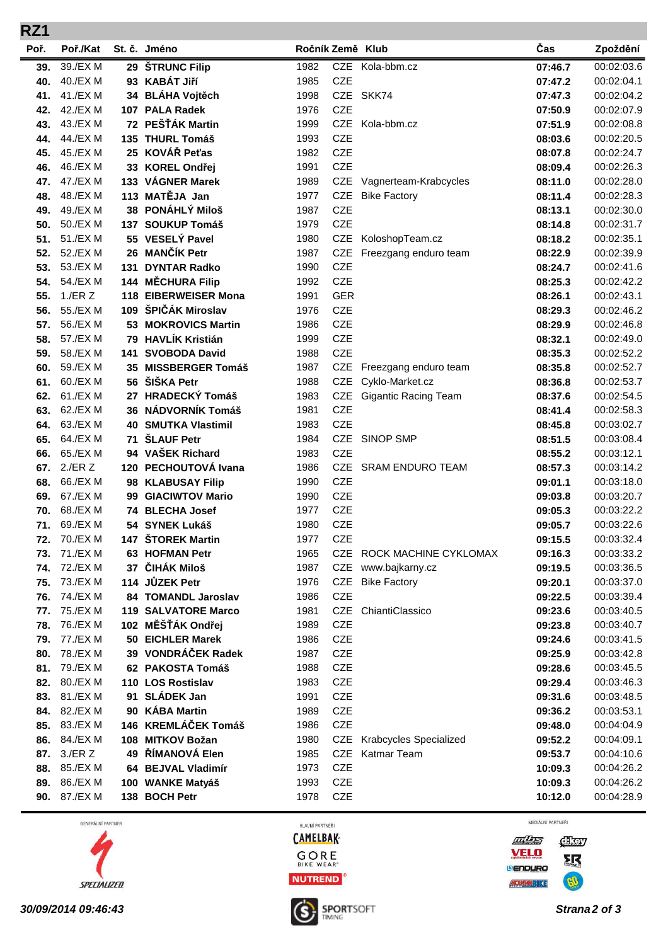| RZ1        |                          |     |                                             |                  |                          |                             |                    |                          |
|------------|--------------------------|-----|---------------------------------------------|------------------|--------------------------|-----------------------------|--------------------|--------------------------|
| Poř.       | Poř./Kat                 |     | St. č. Jméno                                | Ročník Země Klub |                          |                             | Čas                | Zpoždění                 |
| 39.        | 39./EX M                 |     | 29 ŠTRUNC Filip                             | 1982             |                          | CZE Kola-bbm.cz             | 07:46.7            | 00:02:03.6               |
| 40.        | 40./EX M                 |     | 93 KABÁT Jiří                               | 1985             | <b>CZE</b>               |                             | 07:47.2            | 00:02:04.1               |
| 41.        | 41./EX M                 |     | 34 BLÁHA Vojtěch                            | 1998             |                          | CZE SKK74                   | 07:47.3            | 00:02:04.2               |
| 42.        | 42./EX M                 |     | 107 PALA Radek                              | 1976             | <b>CZE</b>               |                             | 07:50.9            | 00:02:07.9               |
| 43.        | 43./EX M                 |     | 72 PEŠŤÁK Martin                            | 1999             | <b>CZE</b>               | Kola-bbm.cz                 | 07:51.9            | 00:02:08.8               |
| 44.        | 44./EX M                 |     | 135 THURL Tomáš                             | 1993             | <b>CZE</b>               |                             | 08:03.6            | 00:02:20.5               |
| 45.        | 45./EX M                 |     | 25 KOVÁŘ Peťas                              | 1982             | <b>CZE</b>               |                             | 08:07.8            | 00:02:24.7               |
| 46.        | 46./EX M                 |     | 33 KOREL Ondřej                             | 1991             | <b>CZE</b>               |                             | 08:09.4            | 00:02:26.3               |
| 47.        | 47./EX M                 |     | 133 VÁGNER Marek                            | 1989             |                          | CZE Vagnerteam-Krabcycles   | 08:11.0            | 00:02:28.0               |
| 48.        | 48./EX M                 |     | 113 MATĚJA Jan                              | 1977             | CZE                      | <b>Bike Factory</b>         | 08:11.4            | 00:02:28.3               |
| 49.        | 49./EX M                 |     | 38 PONÁHLÝ Miloš                            | 1987             | <b>CZE</b>               |                             | 08:13.1            | 00:02:30.0               |
| 50.        | 50./EX M                 |     | 137 SOUKUP Tomáš                            | 1979             | <b>CZE</b>               |                             | 08:14.8            | 00:02:31.7               |
| 51.        | 51./EX M                 |     | 55 VESELÝ Pavel                             | 1980             | CZE                      | KoloshopTeam.cz             | 08:18.2            | 00:02:35.1               |
| 52.        | 52./EX M                 |     | 26 MANČÍK Petr                              | 1987             | <b>CZE</b>               | Freezgang enduro team       | 08:22.9            | 00:02:39.9               |
| 53.        | 53./EX M                 | 131 | <b>DYNTAR Radko</b>                         | 1990             | <b>CZE</b>               |                             | 08:24.7            | 00:02:41.6               |
| 54.        | 54./EX M                 |     | 144 MĚCHURA Filip                           | 1992             | <b>CZE</b>               |                             | 08:25.3            | 00:02:42.2<br>00:02:43.1 |
| 55.<br>56. | $1$ ./ER $Z$<br>55./EX M |     | 118 EIBERWEISER Mona<br>109 ŠPIČÁK Miroslav | 1991<br>1976     | <b>GER</b><br><b>CZE</b> |                             | 08:26.1            | 00:02:46.2               |
| 57.        | 56./EX M                 |     | 53 MOKROVICS Martin                         | 1986             | <b>CZE</b>               |                             | 08:29.3<br>08:29.9 | 00:02:46.8               |
| 58.        | 57./EX M                 |     | 79 HAVLÍK Kristián                          | 1999             | <b>CZE</b>               |                             | 08:32.1            | 00:02:49.0               |
| 59.        | 58./EX M                 | 141 | <b>SVOBODA David</b>                        | 1988             | <b>CZE</b>               |                             | 08:35.3            | 00:02:52.2               |
| 60.        | 59./EX M                 |     | 35 MISSBERGER Tomáš                         | 1987             | <b>CZE</b>               | Freezgang enduro team       | 08:35.8            | 00:02:52.7               |
| 61.        | 60./EX M                 |     | 56 ŠIŠKA Petr                               | 1988             | <b>CZE</b>               | Cyklo-Market.cz             | 08:36.8            | 00:02:53.7               |
| 62.        | 61./EX M                 |     | 27 HRADECKÝ Tomáš                           | 1983             | CZE                      | <b>Gigantic Racing Team</b> | 08:37.6            | 00:02:54.5               |
| 63.        | 62./EX M                 |     | 36 NÁDVORNÍK Tomáš                          | 1981             | <b>CZE</b>               |                             | 08:41.4            | 00:02:58.3               |
| 64.        | 63./EX M                 |     | <b>40 SMUTKA Vlastimil</b>                  | 1983             | <b>CZE</b>               |                             | 08:45.8            | 00:03:02.7               |
| 65.        | 64./EX M                 | 71  | <b>ŠLAUF Petr</b>                           | 1984             | <b>CZE</b>               | <b>SINOP SMP</b>            | 08:51.5            | 00:03:08.4               |
| 66.        | 65./EX M                 |     | 94 VAŠEK Richard                            | 1983             | <b>CZE</b>               |                             | 08:55.2            | 00:03:12.1               |
| 67.        | $2$ ./ER $Z$             |     | 120 PECHOUTOVÁ Ivana                        | 1986             | CZE                      | <b>SRAM ENDURO TEAM</b>     | 08:57.3            | 00:03:14.2               |
| 68.        | 66./EX M                 |     | 98 KLABUSAY Filip                           | 1990             | <b>CZE</b>               |                             | 09:01.1            | 00:03:18.0               |
| 69.        | 67./EX M                 |     | 99 GIACIWTOV Mario                          | 1990             | <b>CZE</b>               |                             | 09:03.8            | 00:03:20.7               |
| 70.        | 68./EX M                 |     | 74 BLECHA Josef                             | 1977             | <b>CZE</b>               |                             | 09:05.3            | 00:03:22.2               |
| 71.        | 69./EX M                 |     | 54 SYNEK Lukáš                              | 1980             | <b>CZE</b>               |                             | 09:05.7            | 00:03:22.6               |
| 72.        | 70./EX M                 |     | 147 ŠTOREK Martin                           | 1977             | <b>CZE</b>               |                             | 09:15.5            | 00:03:32.4               |
| 73.        | 71./EX M                 |     | 63 HOFMAN Petr                              | 1965             | CZE                      | ROCK MACHINE CYKLOMAX       | 09:16.3            | 00:03:33.2               |
| 74.        | 72./EX M                 |     | 37 ČIHÁK Miloš                              | 1987             | CZE                      | www.bajkarny.cz             | 09:19.5            | 00:03:36.5               |
| 75.        | 73./EX M                 |     | 114 JŮZEK Petr                              | 1976             | <b>CZE</b>               | <b>Bike Factory</b>         | 09:20.1            | 00:03:37.0               |
| 76.        | 74./EX M                 |     | 84 TOMANDL Jaroslav                         | 1986             | <b>CZE</b>               |                             | 09:22.5            | 00:03:39.4               |
| 77.        | 75./EX M                 |     | <b>119 SALVATORE Marco</b>                  | 1981             | CZE                      | ChiantiClassico             | 09:23.6            | 00:03:40.5               |
| 78.        | 76./EX M                 |     | 102 MĚŠŤÁK Ondřej                           | 1989             | CZE                      |                             | 09:23.8            | 00:03:40.7               |
| 79.        | 77./EX M                 |     | 50 EICHLER Marek                            | 1986             | CZE                      |                             | 09:24.6            | 00:03:41.5               |
| 80.        | 78./EX M                 |     | 39 VONDRÁČEK Radek                          | 1987             | CZE                      |                             | 09:25.9            | 00:03:42.8               |
| 81.        | 79./EX M                 |     | 62 PAKOSTA Tomáš                            | 1988             | <b>CZE</b>               |                             | 09:28.6            | 00:03:45.5               |
| 82.<br>83. | 80./EX M<br>81./EX M     |     | 110 LOS Rostislav<br>91 SLÁDEK Jan          | 1983<br>1991     | CZE<br><b>CZE</b>        |                             | 09:29.4<br>09:31.6 | 00:03:46.3<br>00:03:48.5 |
| 84.        | 82./EX M                 |     | 90 KÁBA Martin                              | 1989             | CZE                      |                             |                    | 00:03:53.1               |
| 85.        | 83./EX M                 |     | 146 KREMLÁČEK Tomáš                         | 1986             | <b>CZE</b>               |                             | 09:36.2<br>09:48.0 | 00:04:04.9               |
| 86.        | 84./EX M                 |     | 108 MITKOV Božan                            | 1980             | CZE                      | Krabcycles Specialized      | 09:52.2            | 00:04:09.1               |
| 87.        | $3$ ./ER Z               |     | 49 ŘÍMANOVÁ Elen                            | 1985             | CZE                      | Katmar Team                 | 09:53.7            | 00:04:10.6               |
| 88.        | 85./EX M                 |     | 64 BEJVAL Vladimír                          | 1973             | <b>CZE</b>               |                             | 10:09.3            | 00:04:26.2               |
| 89.        | 86./EX M                 |     | 100 WANKE Matyáš                            | 1993             | <b>CZE</b>               |                             | 10:09.3            | 00:04:26.2               |
| 90.        | 87./EX M                 |     | 138 BOCH Petr                               | 1978             | CZE                      |                             | 10:12.0            | 00:04:28.9               |
|            |                          |     |                                             |                  |                          |                             |                    |                          |

GENERÁLNÍ PARTNER



HLAVNÍ PARTNEŘI **CAMELBAK-**



MEDIÁLNÍ PARTNEŘI